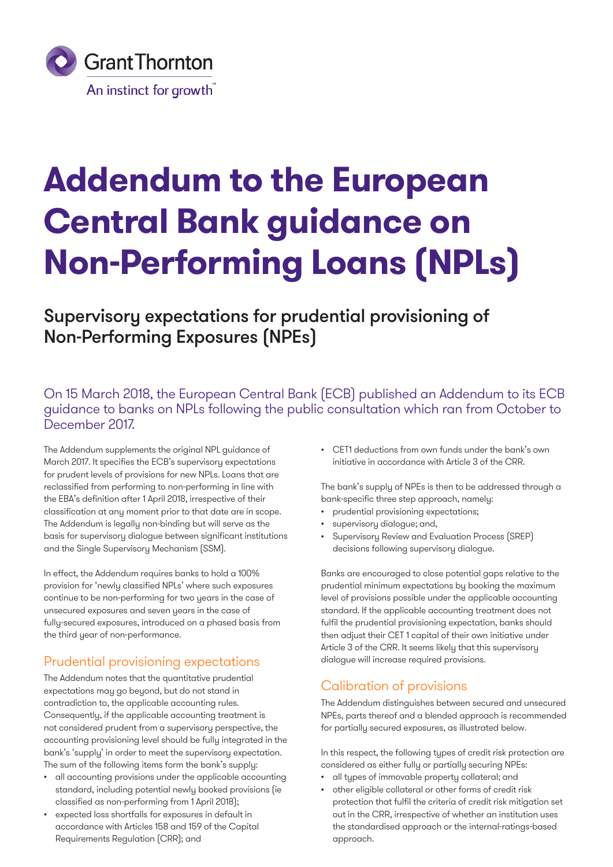

# **Addendum to the European Central Bank guidance on Non-Performing Loans (NPLs)**

## Supervisory expectations for prudential provisioning of Non-Performing Exposures (NPEs)

On 15 March 2018, the European Central Bank (ECB) published an Addendum to its ECB guidance to banks on NPLs following the public consultation which ran from October to December 2017.

The Addendum supplements the original NPL guidance of March 2017. It specifies the ECB's supervisory expectations for prudent levels of provisions for new NPLs. Loans that are reclassified from performing to non-performing in line with the EBA's definition after 1 April 2018, irrespective of their classification at any moment prior to that date are in scope. The Addendum is legally non-binding but will serve as the basis for supervisory dialogue between significant institutions and the Single Supervisory Mechanism (SSM).

In effect, the Addendum requires banks to hold a 100% provision for 'newly classified NPLs' where such exposures continue to be non-performing for two years in the case of unsecured exposures and seven years in the case of fully-secured exposures, introduced on a phased basis from the third year of non-performance.

## Prudential provisioning expectations

The Addendum notes that the quantitative prudential expectations may go beyond, but do not stand in contradiction to, the applicable accounting rules. Consequently, if the applicable accounting treatment is not considered prudent from a supervisory perspective, the accounting provisioning level should be fully integrated in the bank's 'supply' in order to meet the supervisory expectation. The sum of the following items form the bank's supply:

- all accounting provisions under the applicable accounting standard, including potential newly booked provisions (ie classified as non-performing from 1 April 2018);
- expected loss shortfalls for exposures in default in accordance with Articles 158 and 159 of the Capital Requirements Regulation (CRR); and

• CET1 deductions from own funds under the bank's own initiative in accordance with Article 3 of the CRR.

The bank's supply of NPEs is then to be addressed through a bank-specific three step approach, namely:

- prudential provisioning expectations;
- supervisory dialogue; and,
- Supervisory Review and Evaluation Process (SREP) decisions following supervisory dialogue.

Banks are encouraged to close potential gaps relative to the prudential minimum expectations by booking the maximum level of provisions possible under the applicable accounting standard. If the applicable accounting treatment does not fulfil the prudential provisioning expectation, banks should then adjust their CET 1 capital of their own initiative under Article 3 of the CRR. It seems likely that this supervisory dialogue will increase required provisions.

## Calibration of provisions

The Addendum distinguishes between secured and unsecured NPEs, parts thereof and a blended approach is recommended for partially secured exposures, as illustrated below.

In this respect, the following types of credit risk protection are considered as either fully or partially securing NPEs:

- all types of immovable property collateral; and
- other eligible collateral or other forms of credit risk protection that fulfil the criteria of credit risk mitigation set out in the CRR, irrespective of whether an institution uses the standardised approach or the internal-ratings-based approach.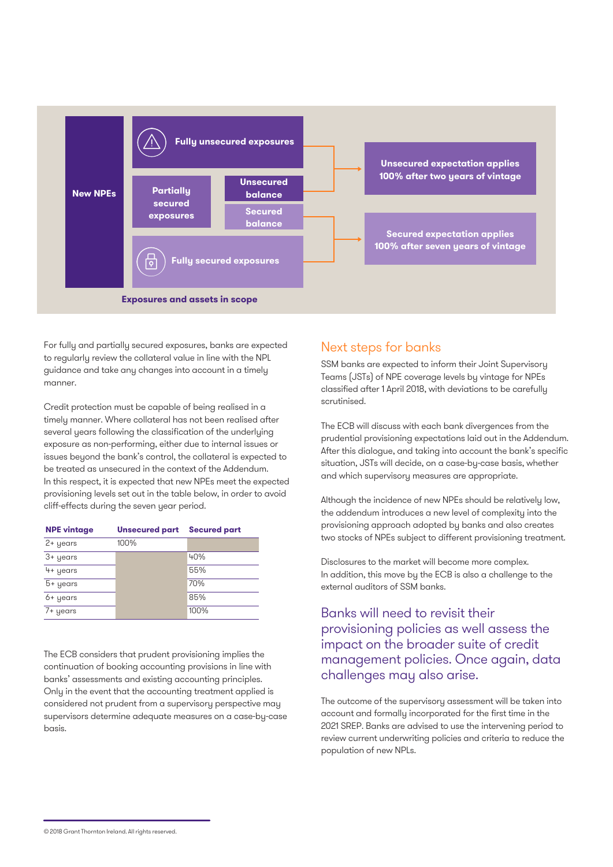

For fully and partially secured exposures, banks are expected to regularly review the collateral value in line with the NPL guidance and take any changes into account in a timely manner.

Credit protection must be capable of being realised in a timely manner. Where collateral has not been realised after several years following the classification of the underlying exposure as non-performing, either due to internal issues or issues beyond the bank's control, the collateral is expected to be treated as unsecured in the context of the Addendum. In this respect, it is expected that new NPEs meet the expected provisioning levels set out in the table below, in order to avoid cliff-effects during the seven year period.

| <b>NPE vintage</b> | <b>Unsecured part Secured part</b> |            |
|--------------------|------------------------------------|------------|
| $2 +$ years        | 100%                               |            |
| 3+ years           |                                    | 40%        |
| 4+ years           |                                    | 55%        |
| 5+ years           |                                    | <b>70%</b> |
| 6+ years           |                                    | 85%        |
| 7+ years           |                                    | 100%       |

The ECB considers that prudent provisioning implies the continuation of booking accounting provisions in line with banks' assessments and existing accounting principles. Only in the event that the accounting treatment applied is considered not prudent from a supervisory perspective may supervisors determine adequate measures on a case-by-case basis.

## Next steps for banks

SSM banks are expected to inform their Joint Supervisory Teams (JSTs) of NPE coverage levels by vintage for NPEs classified after 1 April 2018, with deviations to be carefully scrutinised.

The ECB will discuss with each bank divergences from the prudential provisioning expectations laid out in the Addendum. After this dialogue, and taking into account the bank's specific situation, JSTs will decide, on a case-by-case basis, whether and which supervisory measures are appropriate.

Although the incidence of new NPEs should be relatively low, the addendum introduces a new level of complexity into the provisioning approach adopted by banks and also creates two stocks of NPEs subject to different provisioning treatment.

Disclosures to the market will become more complex. In addition, this move by the ECB is also a challenge to the external auditors of SSM banks.

## Banks will need to revisit their provisioning policies as well assess the impact on the broader suite of credit management policies. Once again, data challenges may also arise.

The outcome of the supervisory assessment will be taken into account and formally incorporated for the first time in the 2021 SREP. Banks are advised to use the intervening period to review current underwriting policies and criteria to reduce the population of new NPLs.